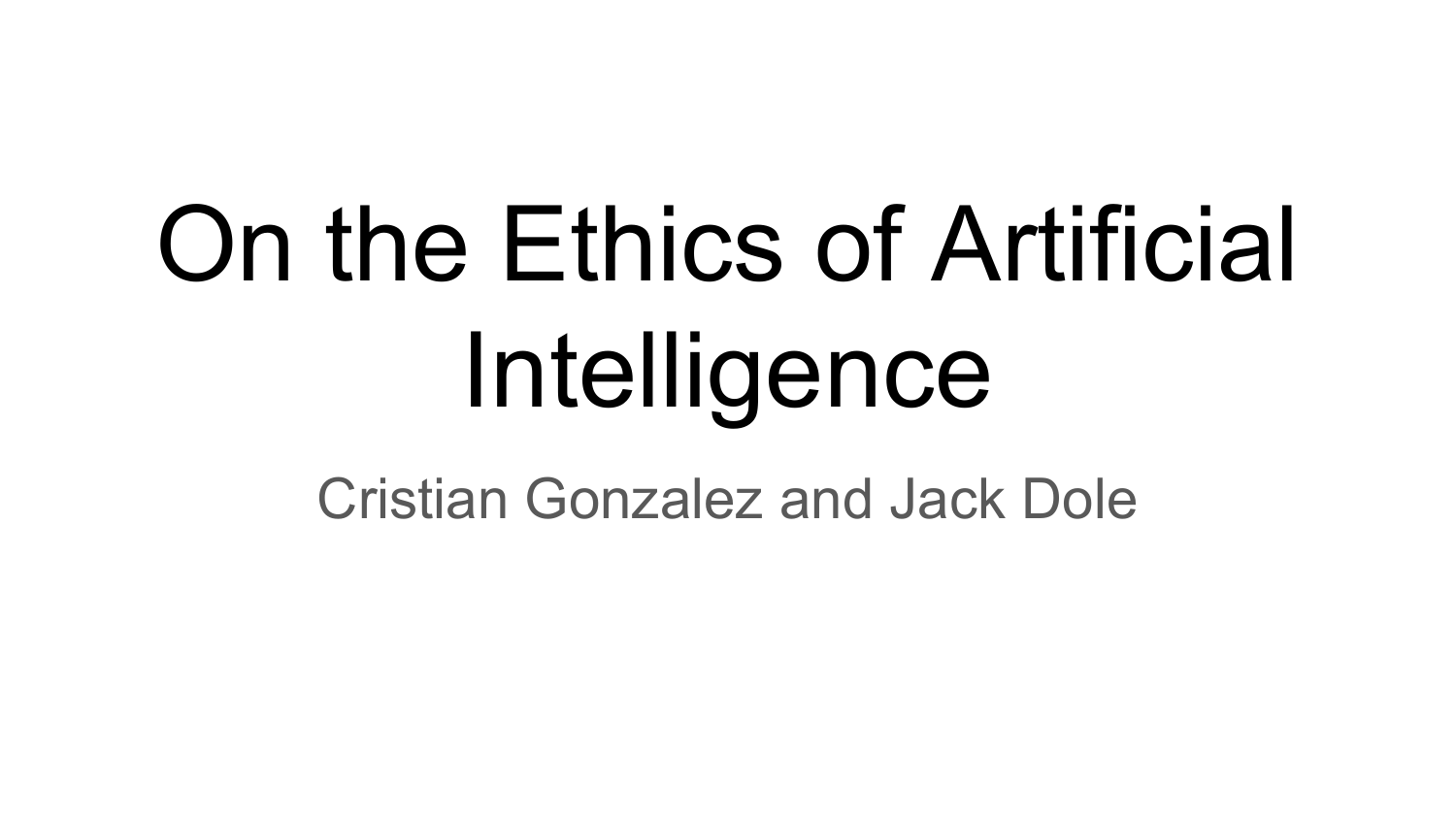# On the Ethics of Artificial Intelligence

Cristian Gonzalez and Jack Dole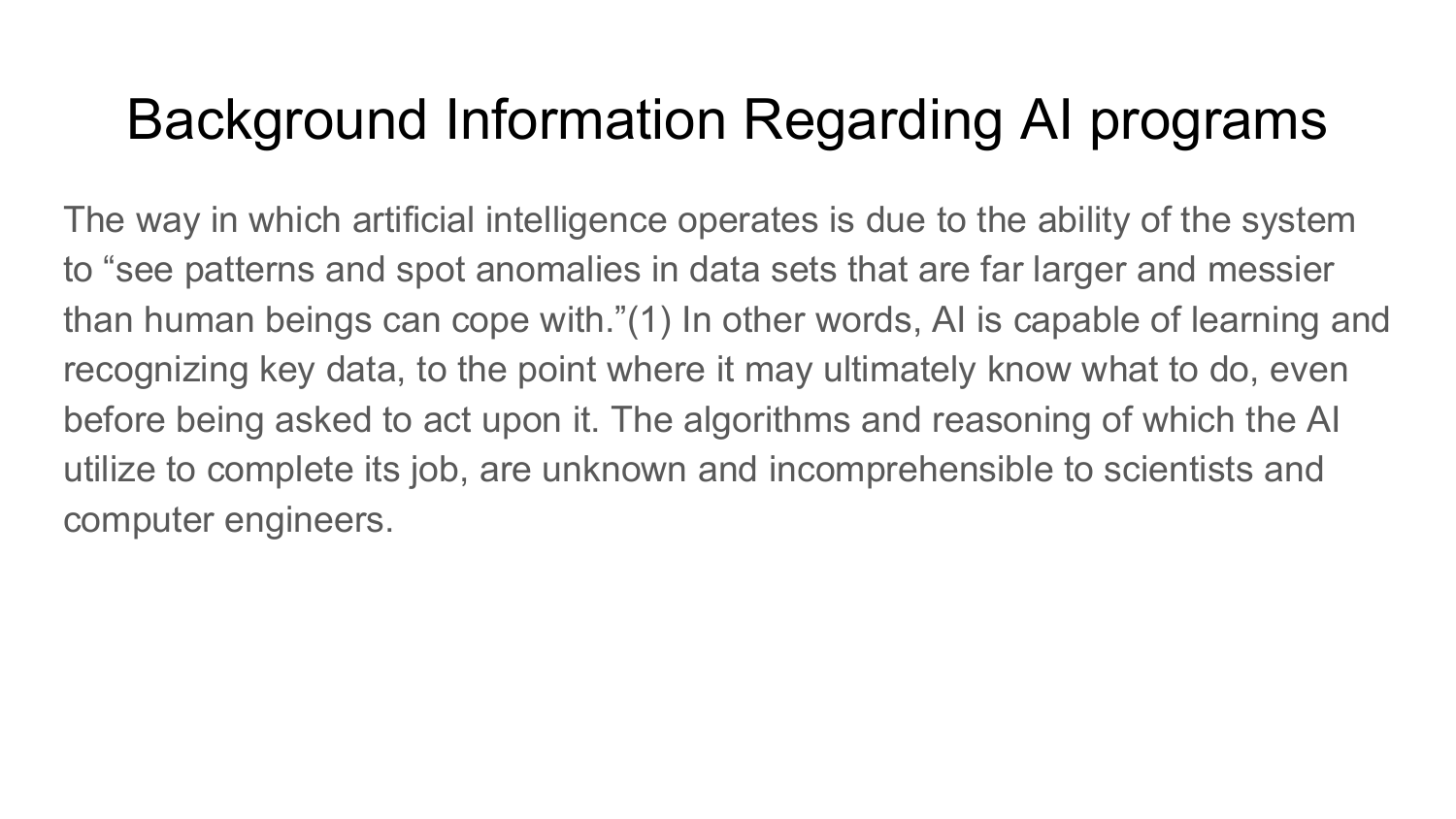## Background Information Regarding AI programs

The way in which artificial intelligence operates is due to the ability of the system to "see patterns and spot anomalies in data sets that are far larger and messier than human beings can cope with."(1) In other words, AI is capable of learning and recognizing key data, to the point where it may ultimately know what to do, even before being asked to act upon it. The algorithms and reasoning of which the AI utilize to complete its job, are unknown and incomprehensible to scientists and computer engineers.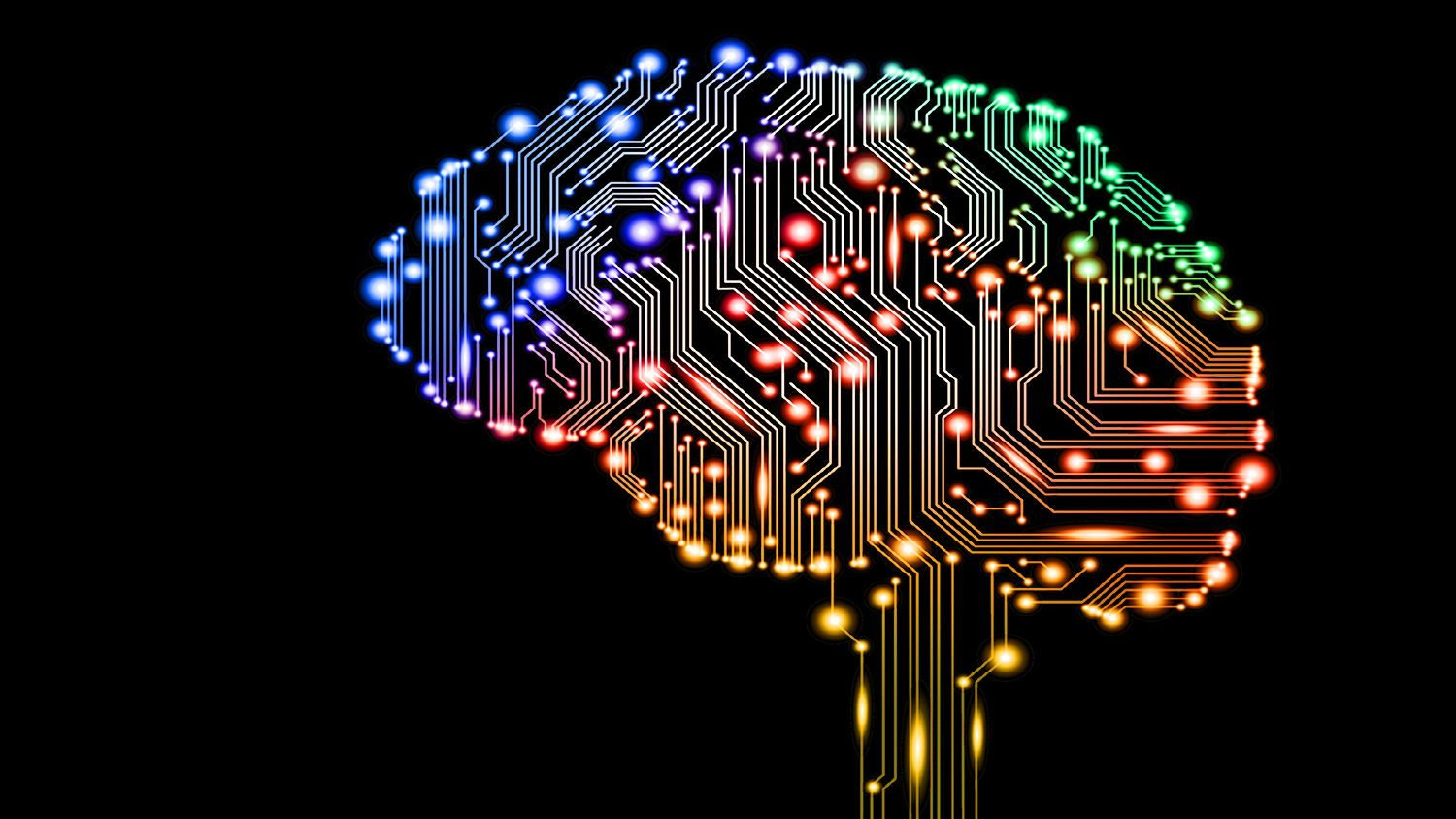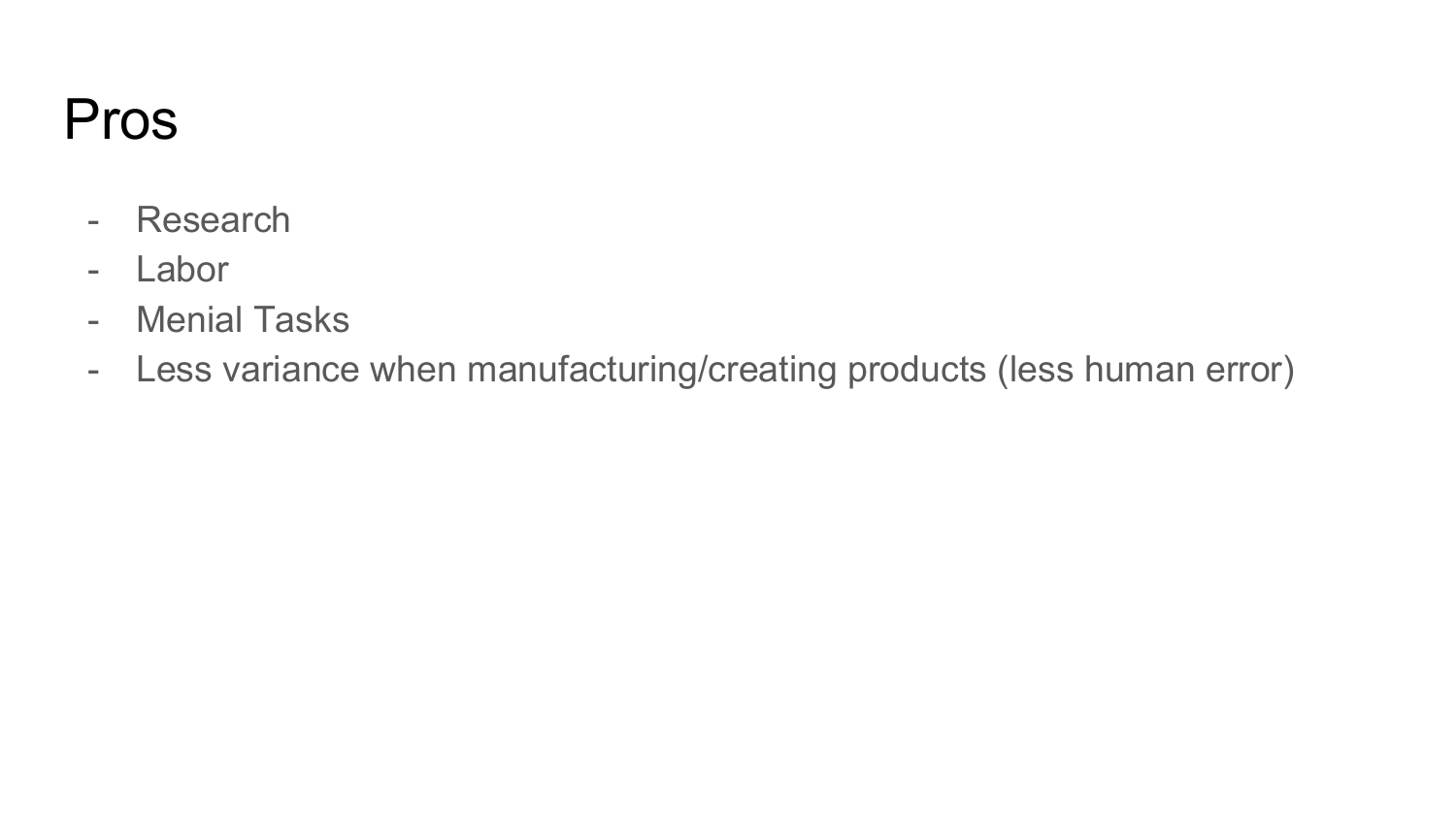#### Pros

- Research
- Labor
- Menial Tasks
- Less variance when manufacturing/creating products (less human error)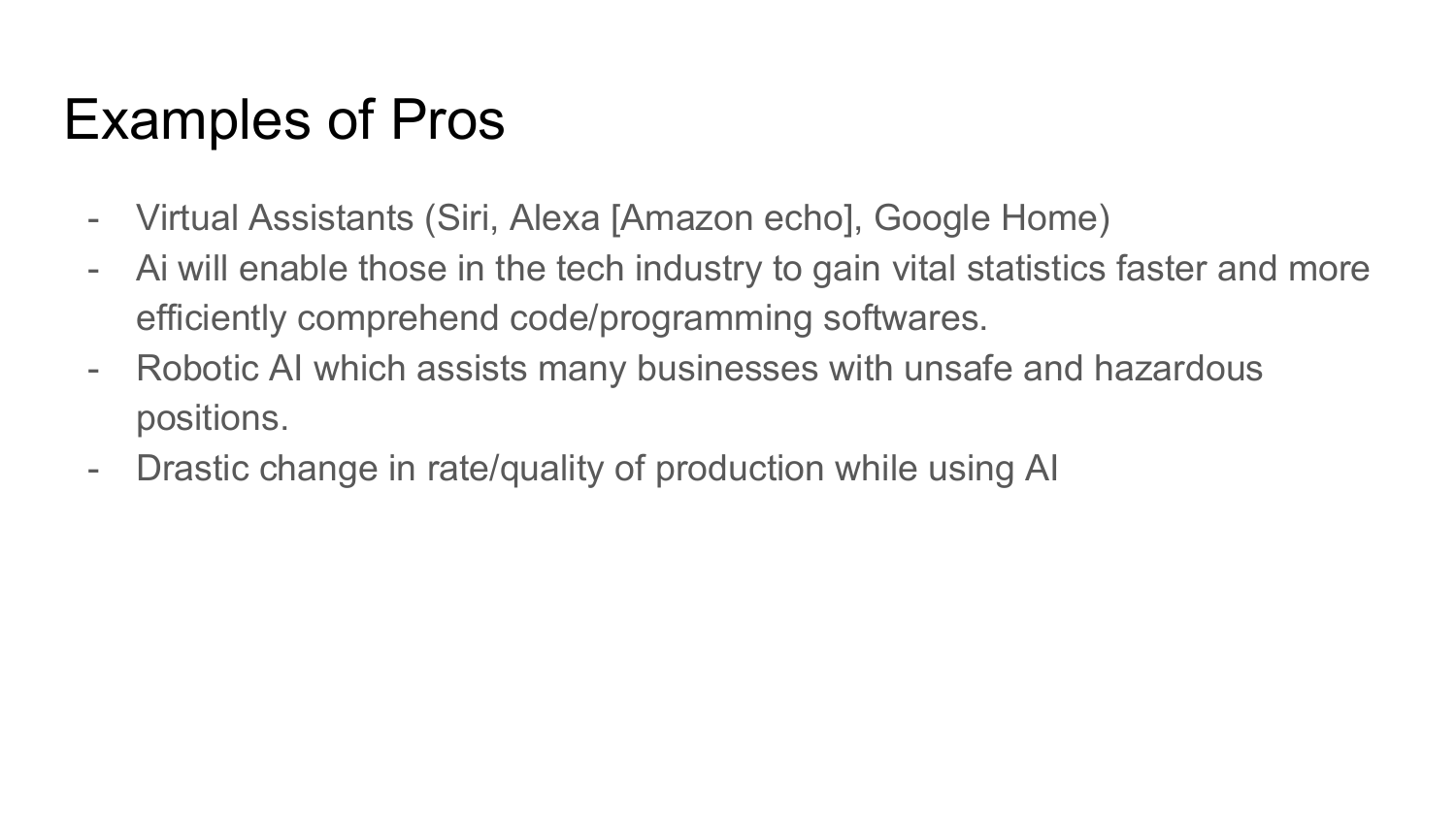### Examples of Pros

- Virtual Assistants (Siri, Alexa [Amazon echo], Google Home)
- Ai will enable those in the tech industry to gain vital statistics faster and more efficiently comprehend code/programming softwares.
- Robotic AI which assists many businesses with unsafe and hazardous positions.
- Drastic change in rate/quality of production while using AI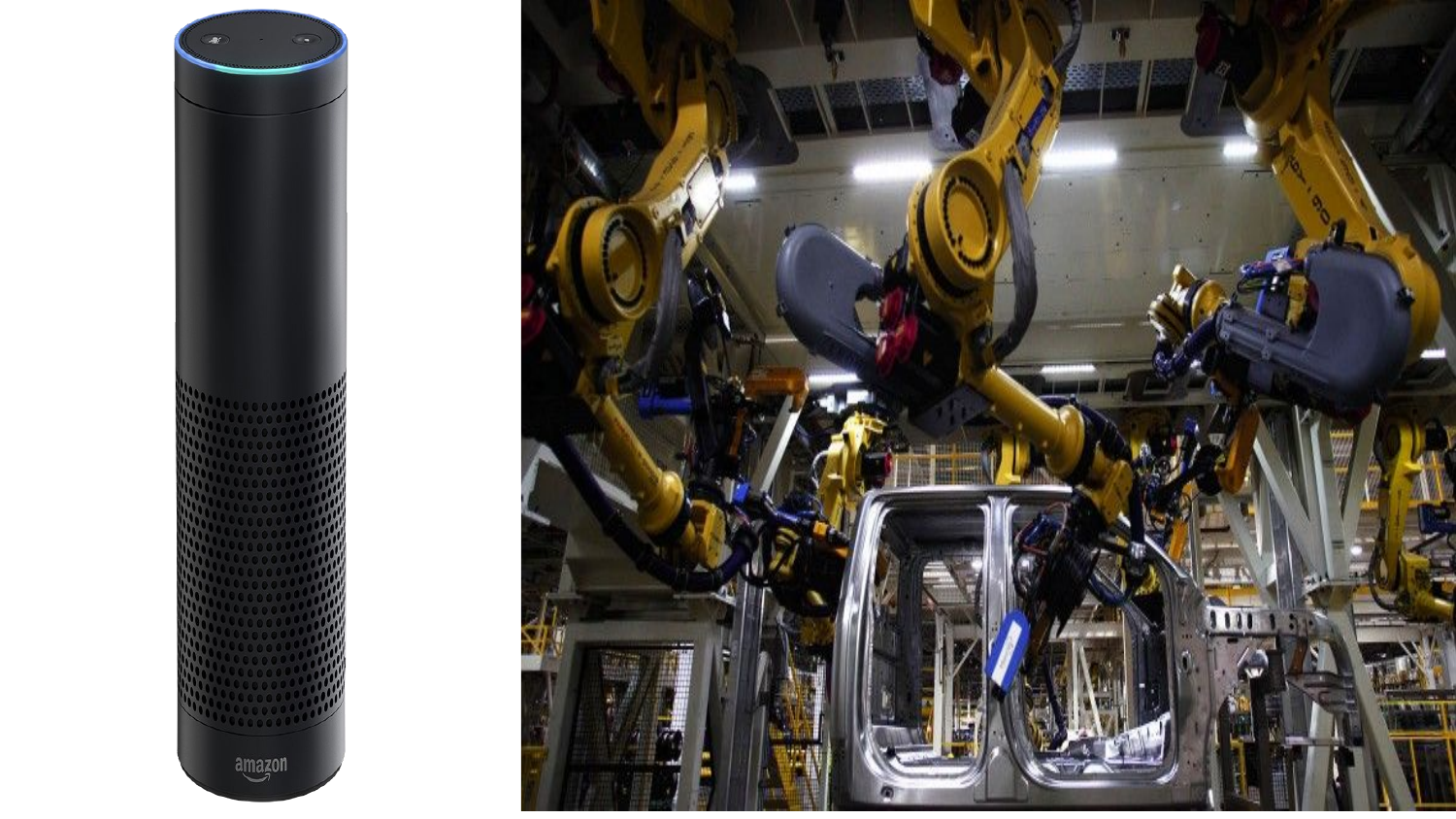

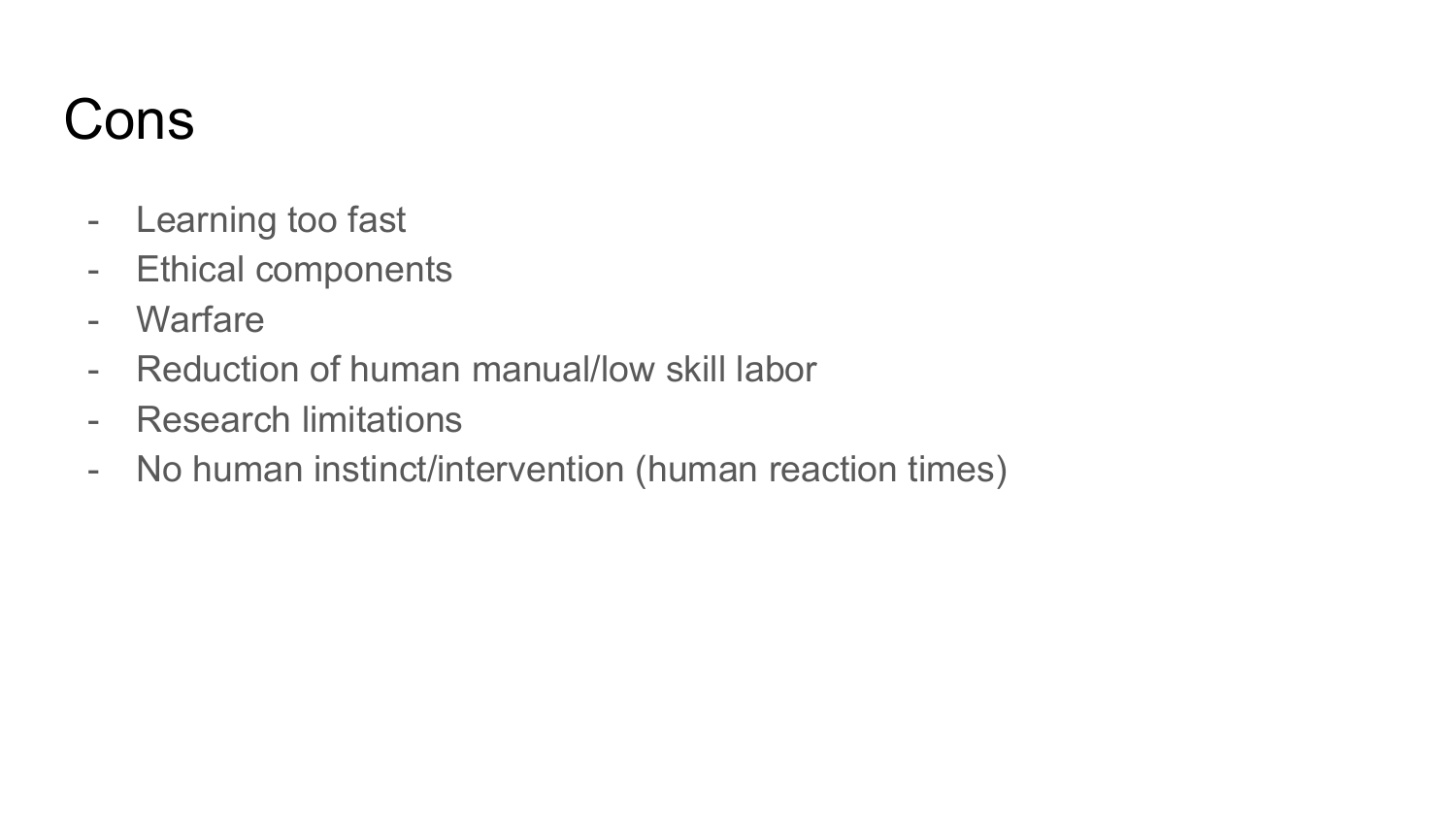### Cons

- Learning too fast
- Ethical components
- Warfare
- Reduction of human manual/low skill labor
- Research limitations
- No human instinct/intervention (human reaction times)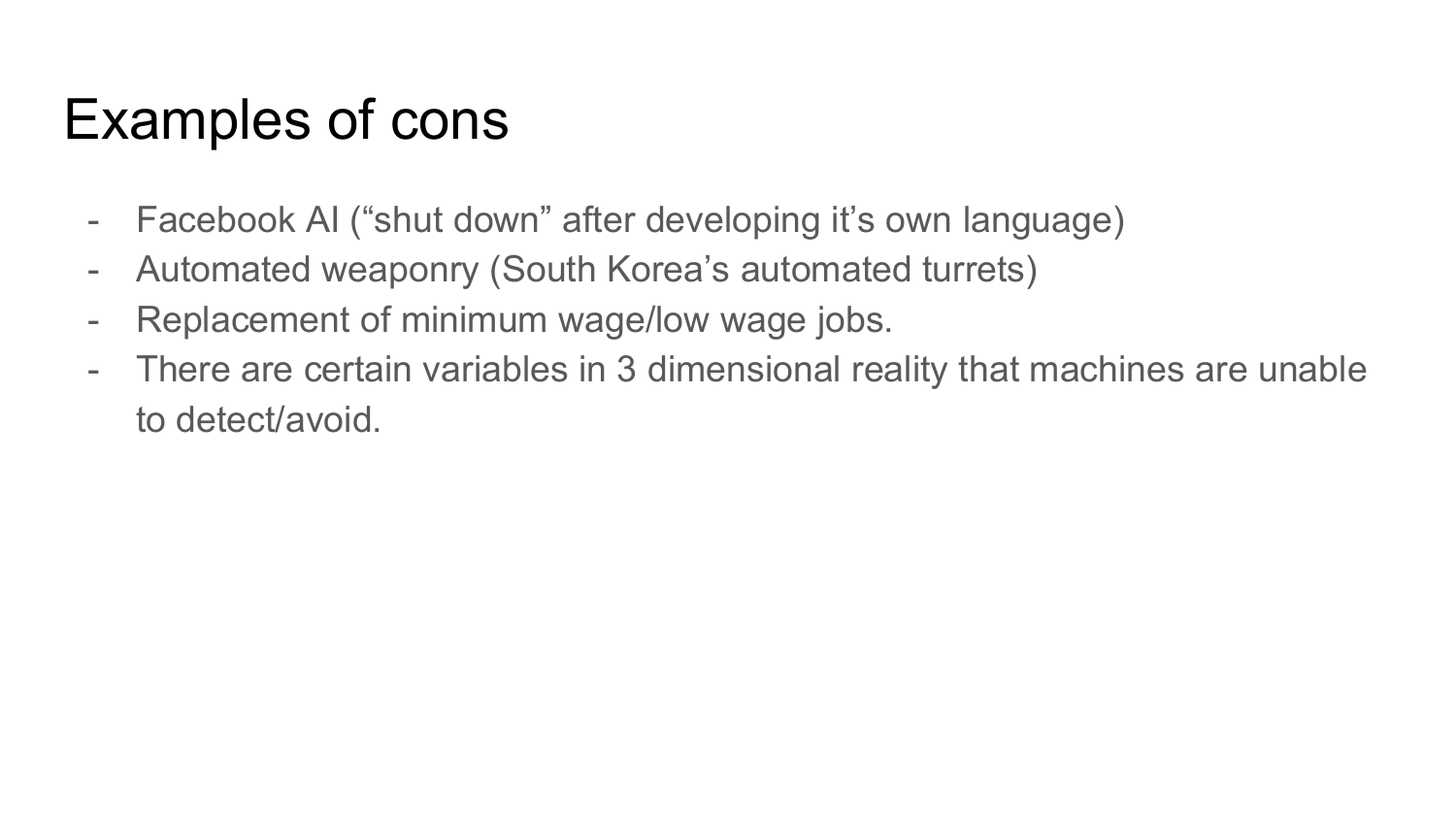### Examples of cons

- Facebook AI ("shut down" after developing it's own language)
- Automated weaponry (South Korea's automated turrets)
- Replacement of minimum wage/low wage jobs.
- There are certain variables in 3 dimensional reality that machines are unable to detect/avoid.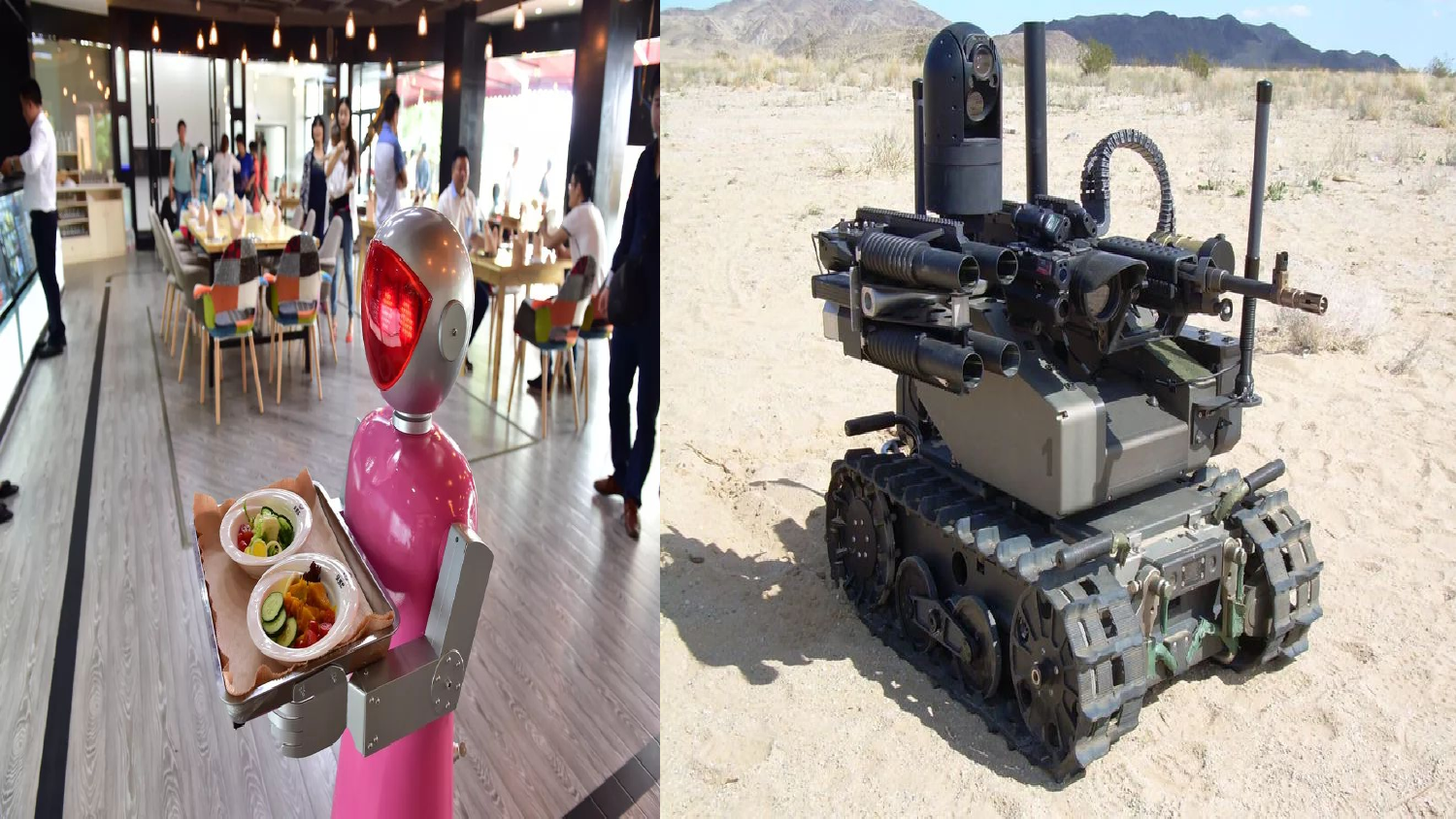